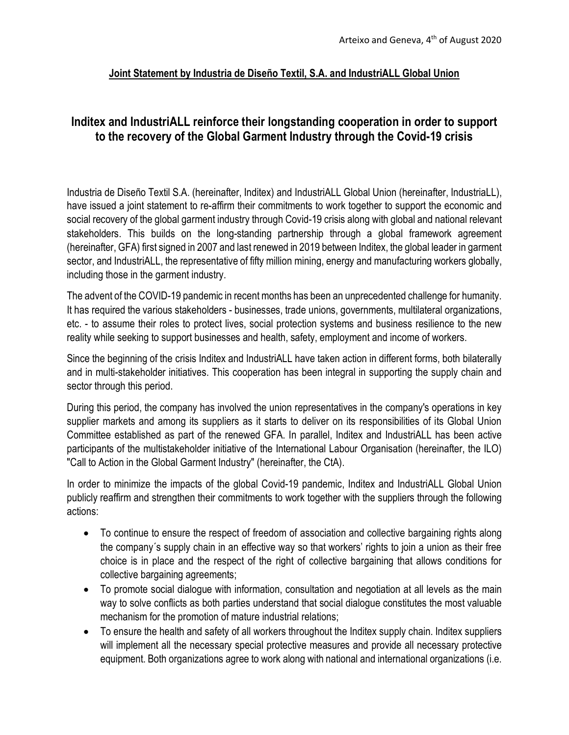## **Joint Statement by Industria de Diseño Textil, S.A. and IndustriALL Global Union**

## **Inditex and IndustriALL reinforce their longstanding cooperation in order to support to the recovery of the Global Garment Industry through the Covid-19 crisis**

Industria de Diseño Textil S.A. (hereinafter, Inditex) and IndustriALL Global Union (hereinafter, IndustriaLL), have issued a joint statement to re-affirm their commitments to work together to support the economic and social recovery of the global garment industry through Covid-19 crisis along with global and national relevant stakeholders. This builds on the long-standing partnership through a global framework agreement (hereinafter, GFA) first signed in 2007 and last renewed in 2019 between Inditex, the global leader in garment sector, and IndustriALL, the representative of fifty million mining, energy and manufacturing workers globally, including those in the garment industry.

The advent of the COVID-19 pandemic in recent months has been an unprecedented challenge for humanity. It has required the various stakeholders - businesses, trade unions, governments, multilateral organizations, etc. - to assume their roles to protect lives, social protection systems and business resilience to the new reality while seeking to support businesses and health, safety, employment and income of workers.

Since the beginning of the crisis Inditex and IndustriALL have taken action in different forms, both bilaterally and in multi-stakeholder initiatives. This cooperation has been integral in supporting the supply chain and sector through this period.

During this period, the company has involved the union representatives in the company's operations in key supplier markets and among its suppliers as it starts to deliver on its responsibilities of its Global Union Committee established as part of the renewed GFA. In parallel, Inditex and IndustriALL has been active participants of the multistakeholder initiative of the International Labour Organisation (hereinafter, the ILO) "Call to Action in the Global Garment Industry" (hereinafter, the CtA).

In order to minimize the impacts of the global Covid-19 pandemic, Inditex and IndustriALL Global Union publicly reaffirm and strengthen their commitments to work together with the suppliers through the following actions:

- To continue to ensure the respect of freedom of association and collective bargaining rights along the company´s supply chain in an effective way so that workers' rights to join a union as their free choice is in place and the respect of the right of collective bargaining that allows conditions for collective bargaining agreements;
- To promote social dialogue with information, consultation and negotiation at all levels as the main way to solve conflicts as both parties understand that social dialogue constitutes the most valuable mechanism for the promotion of mature industrial relations;
- To ensure the health and safety of all workers throughout the Inditex supply chain. Inditex suppliers will implement all the necessary special protective measures and provide all necessary protective equipment. Both organizations agree to work along with national and international organizations (i.e.